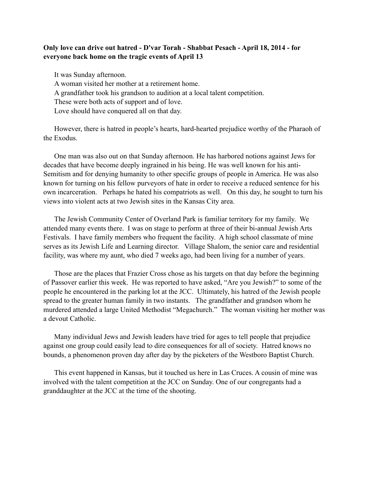## **Only love can drive out hatred - D'var Torah - Shabbat Pesach - April 18, 2014 - for everyone back home on the tragic events of April 13**

It was Sunday afternoon. A woman visited her mother at a retirement home. A grandfather took his grandson to audition at a local talent competition. These were both acts of support and of love. Love should have conquered all on that day.

However, there is hatred in people's hearts, hard-hearted prejudice worthy of the Pharaoh of the Exodus.

One man was also out on that Sunday afternoon. He has harbored notions against Jews for decades that have become deeply ingrained in his being. He was well known for his anti-Semitism and for denying humanity to other specific groups of people in America. He was also known for turning on his fellow purveyors of hate in order to receive a reduced sentence for his own incarceration. Perhaps he hated his compatriots as well. On this day, he sought to turn his views into violent acts at two Jewish sites in the Kansas City area.

The Jewish Community Center of Overland Park is familiar territory for my family. We attended many events there. I was on stage to perform at three of their bi-annual Jewish Arts Festivals. I have family members who frequent the facility. A high school classmate of mine serves as its Jewish Life and Learning director. Village Shalom, the senior care and residential facility, was where my aunt, who died 7 weeks ago, had been living for a number of years.

Those are the places that Frazier Cross chose as his targets on that day before the beginning of Passover earlier this week. He was reported to have asked, "Are you Jewish?" to some of the people he encountered in the parking lot at the JCC. Ultimately, his hatred of the Jewish people spread to the greater human family in two instants. The grandfather and grandson whom he murdered attended a large United Methodist "Megachurch." The woman visiting her mother was a devout Catholic.

Many individual Jews and Jewish leaders have tried for ages to tell people that prejudice against one group could easily lead to dire consequences for all of society. Hatred knows no bounds, a phenomenon proven day after day by the picketers of the Westboro Baptist Church.

This event happened in Kansas, but it touched us here in Las Cruces. A cousin of mine was involved with the talent competition at the JCC on Sunday. One of our congregants had a granddaughter at the JCC at the time of the shooting.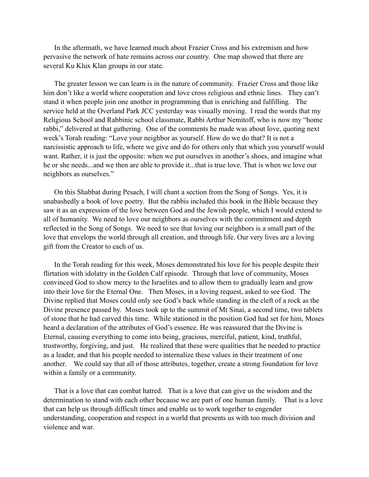In the aftermath, we have learned much about Frazier Cross and his extremism and how pervasive the network of hate remains across our country. One map showed that there are several Ku Klux Klan groups in our state.

The greater lesson we can learn is in the nature of community. Frazier Cross and those like him don't like a world where cooperation and love cross religious and ethnic lines. They can't stand it when people join one another in programming that is enriching and fulfilling. The service held at the Overland Park JCC yesterday was visually moving. I read the words that my Religious School and Rabbinic school classmate, Rabbi Arthur Nemitoff, who is now my "home rabbi," delivered at that gathering. One of the comments he made was about love, quoting next week's Torah reading: "Love your neighbor as yourself. How do we do that? It is not a narcissistic approach to life, where we give and do for others only that which you yourself would want. Rather, it is just the opposite: when we put ourselves in another's shoes, and imagine what he or she needs...and we then are able to provide it...that is true love. That is when we love our neighbors as ourselves."

On this Shabbat during Pesach, I will chant a section from the Song of Songs. Yes, it is unabashedly a book of love poetry. But the rabbis included this book in the Bible because they saw it as an expression of the love between God and the Jewish people, which I would extend to all of humanity. We need to love our neighbors as ourselves with the commitment and depth reflected in the Song of Songs. We need to see that loving our neighbors is a small part of the love that envelops the world through all creation, and through life. Our very lives are a loving gift from the Creator to each of us.

In the Torah reading for this week, Moses demonstrated his love for his people despite their flirtation with idolatry in the Golden Calf episode. Through that love of community, Moses convinced God to show mercy to the Israelites and to allow them to gradually learn and grow into their love for the Eternal One. Then Moses, in a loving request, asked to see God. The Divine replied that Moses could only see God's back while standing in the cleft of a rock as the Divine presence passed by. Moses took up to the summit of Mt Sinai, a second time, two tablets of stone that he had carved this time. While stationed in the position God had set for him, Moses heard a declaration of the attributes of God's essence. He was reassured that the Divine is Eternal, causing everything to come into being, gracious, merciful, patient, kind, truthful, trustworthy, forgiving, and just. He realized that these were qualities that he needed to practice as a leader, and that his people needed to internalize these values in their treatment of one another. We could say that all of those attributes, together, create a strong foundation for love within a family or a community.

That is a love that can combat hatred. That is a love that can give us the wisdom and the determination to stand with each other because we are part of one human family. That is a love that can help us through difficult times and enable us to work together to engender understanding, cooperation and respect in a world that presents us with too much division and violence and war.